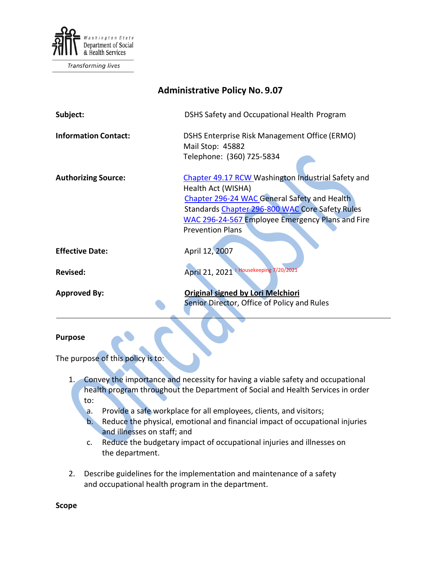

Transforming lives

| <b>Administrative Policy No. 9.07</b> |                                                                                                                                                                                                                                                            |
|---------------------------------------|------------------------------------------------------------------------------------------------------------------------------------------------------------------------------------------------------------------------------------------------------------|
| Subject:                              | DSHS Safety and Occupational Health Program                                                                                                                                                                                                                |
| <b>Information Contact:</b>           | DSHS Enterprise Risk Management Office (ERMO)<br>Mail Stop: 45882<br>Telephone: (360) 725-5834                                                                                                                                                             |
| <b>Authorizing Source:</b>            | Chapter 49.17 RCW Washington Industrial Safety and<br>Health Act (WISHA)<br>Chapter 296-24 WAC General Safety and Health<br>Standards Chapter 296-800 WAC Core Safety Rules<br>WAC 296-24-567 Employee Emergency Plans and Fire<br><b>Prevention Plans</b> |
| <b>Effective Date:</b>                | April 12, 2007                                                                                                                                                                                                                                             |
| <b>Revised:</b>                       | April 21, 2021 i Housekeeping 7/20/2021                                                                                                                                                                                                                    |
| <b>Approved By:</b>                   | <b>Original signed by Lori Melchiori</b><br>Senior Director, Office of Policy and Rules                                                                                                                                                                    |

#### **Purpose**

The purpose of this policy is to:

- 1. Convey the importance and necessity for having a viable safety and occupational health program throughout the Department of Social and Health Services in order to:
	- a. Provide a safe workplace for all employees, clients, and visitors; b. Reduce the physical, emotional and financial impact of occupational injuries and illnesses on staff; and
	- c. Reduce the budgetary impact of occupational injuries and illnesses on the department.
- 2. Describe guidelines for the implementation and maintenance of a safety and occupational health program in the department.

**Scope**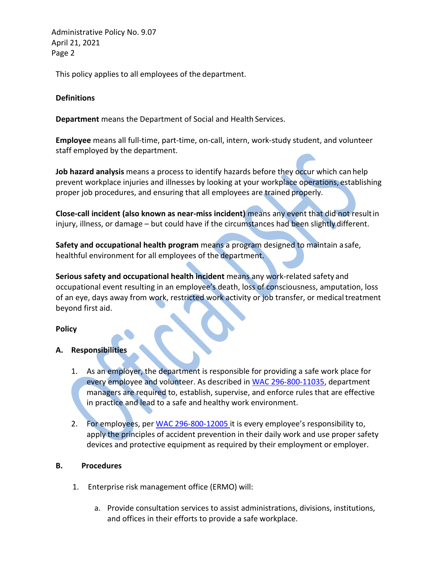Administrative Policy No. 9.07 April 21, 2021 Page 2

This policy applies to all employees of the department.

### **Definitions**

**Department** means the Department of Social and Health Services.

**Employee** means all full-time, part-time, on-call, intern, work-study student, and volunteer staff employed by the department.

**Job hazard analysis** means a process to identify hazards before they occur which can help prevent workplace injuries and illnesses by looking at your workplace operations, establishing proper job procedures, and ensuring that all employees are trained properly.

**Close-call incident (also known as near-miss incident)** means any event that did not resultin injury, illness, or damage – but could have if the circumstances had been slightly different.

**Safety and occupational health program** means a program designed to maintain asafe, healthful environment for all employees of the department.

**Serious safety and occupational health incident** means any work-related safety and occupational event resulting in an employee's death, loss of consciousness, amputation, loss of an eye, days away from work, restricted work activity or job transfer, or medical treatment beyond first aid.

# **Policy**

#### **A. Responsibilities**

- 1. As an employer, the department is responsible for providing a safe work place for every employee and volunteer. As described in [WAC 296-800-11035,](http://apps.leg.wa.gov/wac/default.aspx?cite=296-800-11035) department managers are required to, establish, supervise, and enforce rules that are effective in practice and lead to a safe and healthy work environment.
- 2. For employees, per [WAC 296-800-12005 i](http://apps.leg.wa.gov/wac/default.aspx?cite=296-800-12005)t is every employee's responsibility to, apply the principles of accident prevention in their daily work and use proper safety devices and protective equipment as required by their employment or employer.

# **B. Procedures**

- 1. Enterprise risk management office (ERMO) will:
	- a. Provide consultation services to assist administrations, divisions, institutions, and offices in their efforts to provide a safe workplace.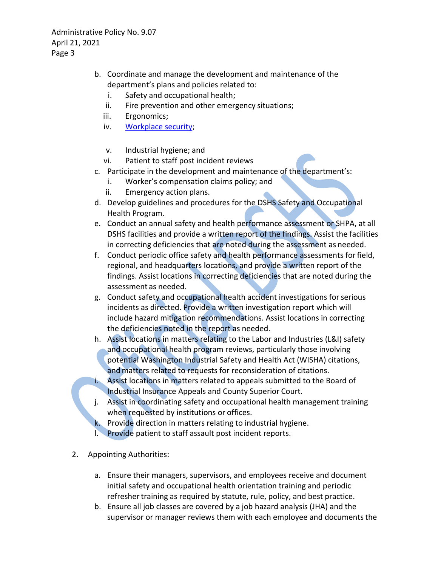Administrative Policy No. 9.07 April 21, 2021 Page 3

- b. Coordinate and manage the development and maintenance of the department's plans and policies related to:
	- i. Safety and occupational health;
	- ii. Fire prevention and other emergency situations;
	- iii. Ergonomics;
	- iv. [Workplace](http://one.dshs.wa.lcl/FS/Loss/Security/Documents/Security%20Policy%20AP%2009-12.pdf) security;
	- v. Industrial hygiene; and
	- vi. Patient to staff post incident reviews
- c. Participate in the development and maintenance of the department's:
	- i. Worker's compensation claims policy; and
	- ii. Emergency action plans.
- d. Develop guidelines and procedures for the DSHS Safety and Occupational Health Program.
- e. Conduct an annual safety and health performance assessment or SHPA, at all DSHS facilities and provide a written report of the findings. Assist the facilities in correcting deficiencies that are noted during the assessment as needed.
- f. Conduct periodic office safety and health performance assessments forfield, regional, and headquarters locations, and provide a written report of the findings. Assist locations in correcting deficiencies that are noted during the assessment as needed.
- g. Conduct safety and occupational health accident investigations forserious incidents as directed. Provide a written investigation report which will include hazard mitigation recommendations. Assist locations in correcting the deficiencies noted in the report as needed.
- h. Assist locations in matters relating to the Labor and Industries (L&I) safety and occupational health program reviews, particularly those involving potential Washington Industrial Safety and Health Act (WISHA) citations, and matters related to requests for reconsideration of citations.
- Assist locations in matters related to appeals submitted to the Board of Industrial Insurance Appeals and County Superior Court.
- Assist in coordinating safety and occupational health management training when requested by institutions or offices.
- Provide direction in matters relating to industrial hygiene.
- l. Provide patient to staff assault post incident reports.
- 2. Appointing Authorities:
	- a. Ensure their managers, supervisors, and employees receive and document initial safety and occupational health orientation training and periodic refresher training as required by statute, rule, policy, and best practice.
	- b. Ensure all job classes are covered by a job hazard analysis (JHA) and the supervisor or manager reviews them with each employee and documents the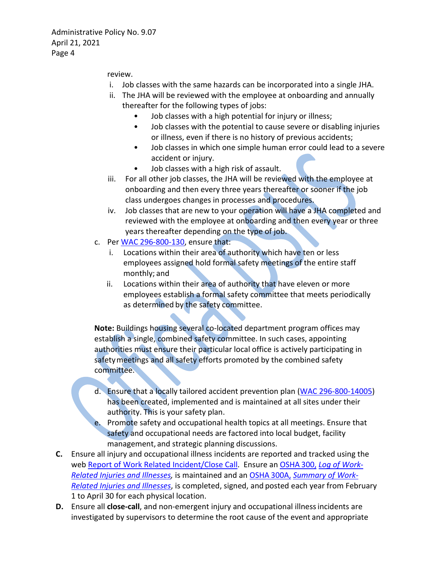review.

- i. Job classes with the same hazards can be incorporated into a single JHA.
- ii. The JHA will be reviewed with the employee at onboarding and annually thereafter for the following types of jobs:
	- Job classes with a high potential for injury or illness;
	- Job classes with the potential to cause severe or disabling injuries or illness, even if there is no history of previous accidents;
	- Job classes in which one simple human error could lead to a severe accident or injury.
	- Job classes with a high risk of assault.
- iii. For all other job classes, the JHA will be reviewed with the employee at onboarding and then every three years thereafter or sooner if the job class undergoes changes in processes and procedures.
- iv. Job classes that are new to your operation will have a JHA completed and reviewed with the employee at onboarding and then every year or three years thereafter depending on the type of job.
- c. Per [WAC 296-800-130,](http://apps.leg.wa.gov/wac/default.aspx?cite=296-800-130) ensure that:
	- i. Locations within their area of authority which have ten or less employees assigned hold formal safety meetings of the entire staff monthly; and
	- ii. Locations within their area of authority that have eleven or more employees establish a formal safety committee that meets periodically as determined by the safety committee.

**Note:** Buildings housing several co-located department program offices may establish a single, combined safety committee. In such cases, appointing authorities must ensure their particular local office is actively participating in safety meetings and all safety efforts promoted by the combined safety committee.

- d. Ensure that a locally tailored accident prevention plan [\(WAC 296-800-14005\)](http://apps.leg.wa.gov/wac/default.aspx?cite=296-800-14005) has been created, implemented and is maintained at all sites under their authority. This is your safety plan.
- Promote safety and occupational health topics at all meetings. Ensure that safety and occupational needs are factored into local budget, facility management, and strategic planning discussions.
- **C.** Ensure all injury and occupational illness incidents are reported and tracked using the web [Report of Work Related Incident/Close Call.](https://riskmaster.dshs.wa.lcl/DSHS%20shell%20web%20form/webform/pagebuilder.aspx) Ensure an [OSHA](https://www.osha.gov/recordkeeping/RKforms.html) 300, *[Log of Work-](https://www.osha.gov/recordkeeping/RKforms.html)[Related Injuries and Illnesses,](https://www.osha.gov/recordkeeping/RKforms.html)* is maintained and an [OSHA](https://www.osha.gov/recordkeeping/RKforms.html) 300A, *[Summary of Work-](https://www.osha.gov/recordkeeping/RKforms.html)[Related Injuries and Illnesses](https://www.osha.gov/recordkeeping/RKforms.html)*, is completed, signed, and posted each year from February 1 to April 30 for each physical location.
- **D.** Ensure all **close-call**, and non-emergent injury and occupational illnessincidents are investigated by supervisors to determine the root cause of the event and appropriate